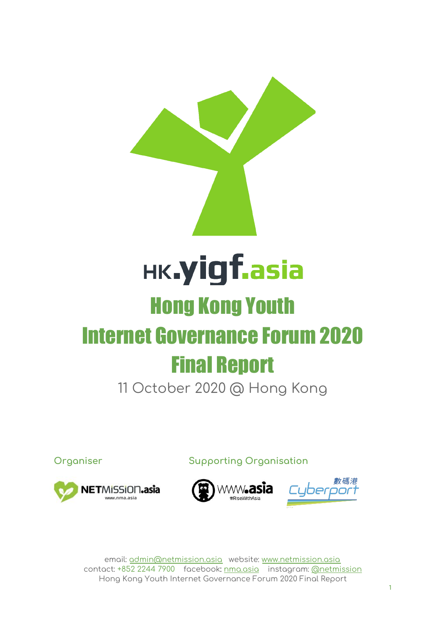

# **HK.yigf.asia** Hong Kong Youth

# Internet Governance Forum 2020 Final Report

11 October 2020 @ Hong Kong

**Organiser Supporting Organisation**





email: [admin@netmission.asia](mailto:admin@netmission.asia) website: [www.netmission.asia](http://www.netmission.asia/) contact: +852 2244 7900 facebook: [nma.asia](http://nma.asia/) instagram: [@netmission](https://www.instagram.com/netmission/) Hong Kong Youth Internet Governance Forum 2020 Final Report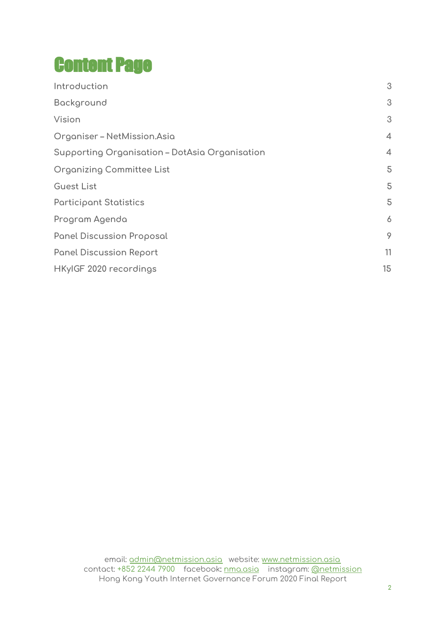# Content Page

| Introduction                                   | 3              |
|------------------------------------------------|----------------|
| Background                                     | 3              |
| Vision                                         | 3              |
| Organiser - NetMission.Asia                    | $\overline{4}$ |
| Supporting Organisation - DotAsia Organisation | $\overline{4}$ |
| <b>Organizing Committee List</b>               | 5              |
| <b>Guest List</b>                              | 5              |
| <b>Participant Statistics</b>                  | 5              |
| Program Agenda                                 | 6              |
| <b>Panel Discussion Proposal</b>               | 9              |
| <b>Panel Discussion Report</b>                 | 11             |
| HKyIGF 2020 recordings                         | 15             |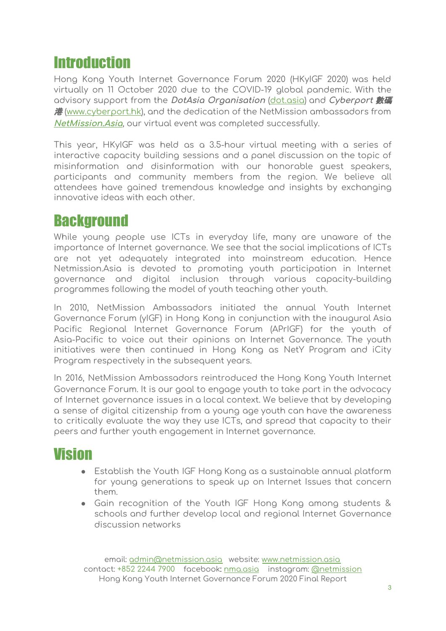# <span id="page-2-0"></span>**Introduction**

Hong Kong Youth Internet Governance Forum 2020 (HKyIGF 2020) was held virtually on 11 October 2020 due to the COVID-19 global pandemic. With the advisory support from the **DotAsia Organisation** [\(dot.asia](https://www.dot.asia/)) and **Cyberport** 數碼 港 [\(www.cyberport.hk\)](https://www.cyberport.hk/), and the dedication of the NetMission ambassadors from **[NetMission.Asia](https://netmission.asia/)**, our virtual event was completed successfully.

This year, HKyIGF was held as a 3.5-hour virtual meeting with a series of interactive capacity building sessions and a panel discussion on the topic of misinformation and disinformation with our honorable guest speakers, participants and community members from the region. We believe all attendees have gained tremendous knowledge and insights by exchanging innovative ideas with each other.

### <span id="page-2-1"></span>**Background**

While young people use ICTs in everyday life, many are unaware of the importance of Internet governance. We see that the social implications of ICTs are not yet adequately integrated into mainstream education. Hence Netmission.Asia is devoted to promoting youth participation in Internet governance and digital inclusion through various capacity-building programmes following the model of youth teaching other youth.

In 2010, NetMission Ambassadors initiated the annual Youth Internet Governance Forum (yIGF) in Hong Kong in conjunction with the inaugural Asia Pacific Regional Internet Governance Forum (APrIGF) for the youth of Asia-Pacific to voice out their opinions on Internet Governance. The youth initiatives were then continued in Hong Kong as NetY Program and iCity Program respectively in the subsequent years.

In 2016, NetMission Ambassadors reintroduced the Hong Kong Youth Internet Governance Forum. It is our goal to engage youth to take part in the advocacy of Internet governance issues in a local context. We believe that by developing a sense of digital citizenship from a young age youth can have the awareness to critically evaluate the way they use ICTs, and spread that capacity to their peers and further youth engagement in Internet governance.

# <span id="page-2-2"></span>Vision

- $\bullet$  Establish the Youth IGF Hong Kong as a sustainable annual platform for young generations to speak up on Internet Issues that concern them.
- Gain recognition of the Youth IGF Hong Kong among students & schools and further develop local and regional Internet Governance discussion networks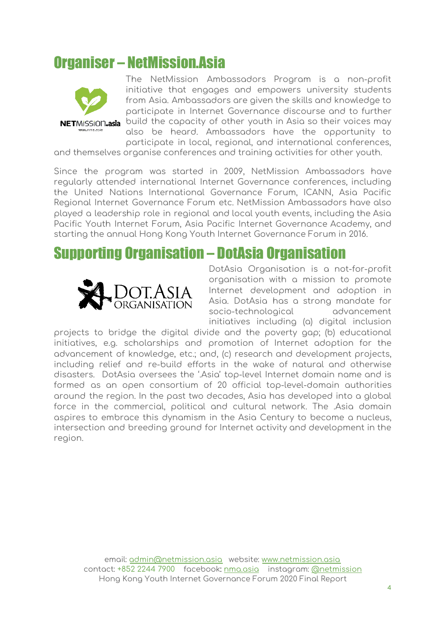# <span id="page-3-0"></span>Organiser – NetMission.Asia



The NetMission Ambassadors Program is a non-profit initiative that engages and empowers university students from Asia. Ambassadors are given the skills and knowledge to participate in Internet Governance discourse and to further build the capacity of other youth in Asia so their voices may also be heard. Ambassadors have the opportunity to participate in local, regional, and international conferences,

and themselves organise conferences and training activities for other youth.

Since the program was started in 2009, NetMission Ambassadors have regularly attended international Internet Governance conferences, including the United Nations International Governance Forum, ICANN, Asia Pacific Regional Internet Governance Forum etc. NetMission Ambassadors have also played a leadership role in regional and local youth events, including the Asia Pacific Youth Internet Forum, Asia Pacific Internet Governance Academy, and starting the annual Hong Kong Youth Internet Governance Forum in 2016.

### <span id="page-3-1"></span>Supporting Organisation – DotAsia Organisation



DotAsia Organisation is a not-for-profit organisation with a mission to promote Internet development and adoption in Asia. DotAsia has a strong mandate for socio-technological advancement initiatives including (a) digital inclusion

projects to bridge the digital divide and the poverty gap; (b) educational initiatives, e.g. scholarships and promotion of Internet adoption for the advancement of knowledge, etc.; and, (c) research and development projects, including relief and re-build efforts in the wake of natural and otherwise disasters. DotAsia oversees the '.Asia' top-level Internet domain name and is formed as an open consortium of 20 official top-level-domain authorities around the region. In the past two decades, Asia has developed into a global force in the commercial, political and cultural network. The .Asia domain aspires to embrace this dynamism in the Asia Century to become a nucleus, intersection and breeding ground for Internet activity and development in the region.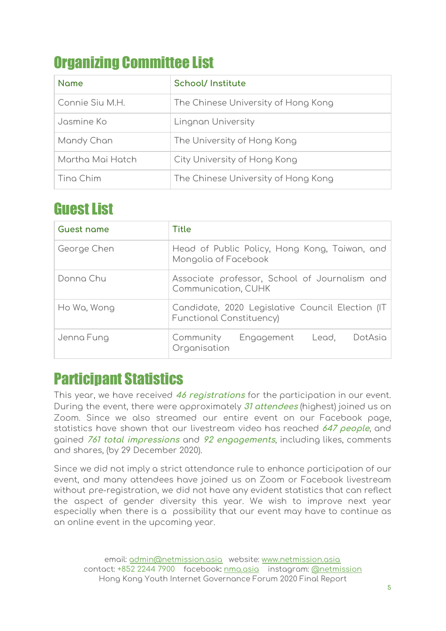# <span id="page-4-0"></span>Organizing Committee List

| <b>Name</b>      | <b>School/Institute</b>             |
|------------------|-------------------------------------|
| Connie Siu M.H.  | The Chinese University of Hong Kong |
| Jasmine Ko       | Lingnan University                  |
| Mandy Chan       | The University of Hong Kong         |
| Martha Mai Hatch | City University of Hong Kong        |
| Ting Chim        | The Chinese University of Hong Kong |

# <span id="page-4-1"></span>**Guest List**

| <b>Guest name</b> | <b>Title</b>                                                                        |  |
|-------------------|-------------------------------------------------------------------------------------|--|
| George Chen       | Head of Public Policy, Hong Kong, Taiwan, and<br>Mongolia of Facebook               |  |
| Donna Chu         | Associate professor, School of Journalism and<br>Communication, CUHK                |  |
| Ho Wa, Wong       | Candidate, 2020 Legislative Council Election (IT<br><b>Functional Constituency)</b> |  |
| Jenna Fung        | DotAsia<br>Community Engagement Lead,<br>Organisation                               |  |

# <span id="page-4-2"></span>Participant Statistics

This year, we have received **46 registrations** for the participation in our event. During the event, there were approximately **31 attendees** (highest) joined us on Zoom. Since we also streamed our entire event on our Facebook page, statistics have shown that our livestream video has reached **647 people**, and gained **761 total impressions** and **92 engagements**, including likes, comments and shares, (by 29 December 2020).

Since we did not imply a strict attendance rule to enhance participation of our event, and many attendees have joined us on Zoom or Facebook livestream without pre-registration, we did not have any evident statistics that can reflect the aspect of gender diversity this year. We wish to improve next year especially when there is a possibility that our event may have to continue as an online event in the upcoming year.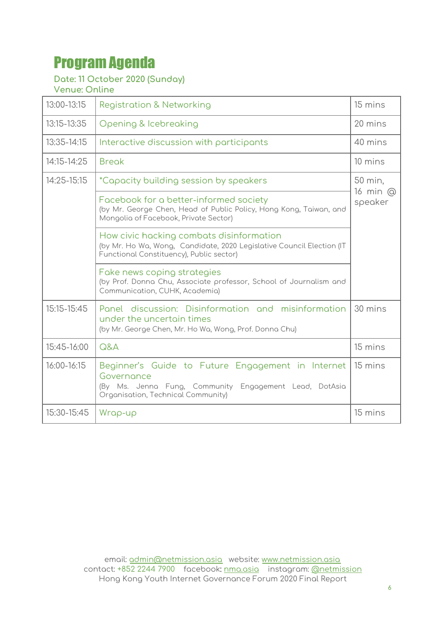# <span id="page-5-0"></span>Program Agenda

### **Date: 11 October 2020 (Sunday)**

**Venue: Online**

| 13:00-13:15 | <b>Registration &amp; Networking</b>                                                                                                                            | 15 mins             |
|-------------|-----------------------------------------------------------------------------------------------------------------------------------------------------------------|---------------------|
| 13:15-13:35 | Opening & Icebreaking                                                                                                                                           | 20 mins             |
| 13:35-14:15 | Interactive discussion with participants                                                                                                                        | 40 mins             |
| 14:15-14:25 | <b>Break</b>                                                                                                                                                    | 10 mins             |
| 14:25-15:15 | <i>*Capacity building session by speakers</i>                                                                                                                   | 50 min,             |
|             | Facebook for a better-informed society<br>(by Mr. George Chen, Head of Public Policy, Hong Kong, Taiwan, and<br>Mongolia of Facebook, Private Sector)           | 16 min @<br>speaker |
|             | How civic hacking combats disinformation<br>(by Mr. Ho Wa, Wong, Candidate, 2020 Legislative Council Election (IT<br>Functional Constituency), Public sector)   |                     |
|             | Fake news coping strategies<br>(by Prof. Donna Chu, Associate professor, School of Journalism and<br>Communication, CUHK, Academia)                             |                     |
| 15:15-15:45 | Panel discussion: Disinformation and misinformation<br>under the uncertain times<br>(by Mr. George Chen, Mr. Ho Wa, Wong, Prof. Donna Chu)                      | 30 mins             |
| 15:45-16:00 | Q&A                                                                                                                                                             | 15 mins             |
| 16:00-16:15 | Beginner's Guide to Future Engagement in Internet<br>Governance<br>(By Ms. Jenna Fung, Community Engagement Lead, DotAsia<br>Organisation, Technical Community) | 15 mins             |
| 15:30-15:45 | Wrap-up                                                                                                                                                         | 15 mins             |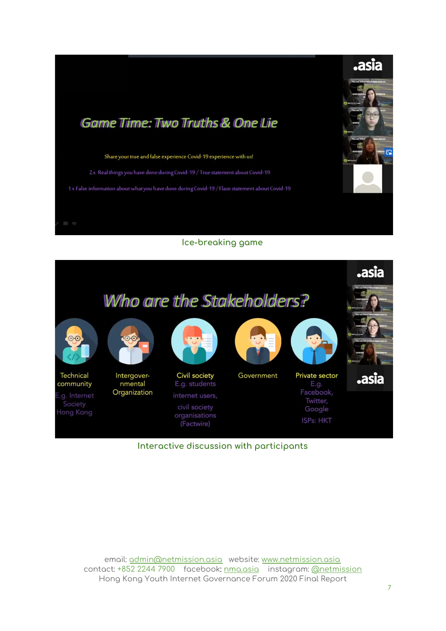



**Interactive discussion with participants**

email: [admin@netmission.asia](mailto:admin@netmission.asia) website: [www.netmission.asia](http://www.netmission.asia/) contact: +852 2244 7900 facebook: [nma.asia](http://nma.asia/) instagram: [@netmission](https://www.instagram.com/netmission/) Hong Kong Youth Internet Governance Forum 2020 Final Report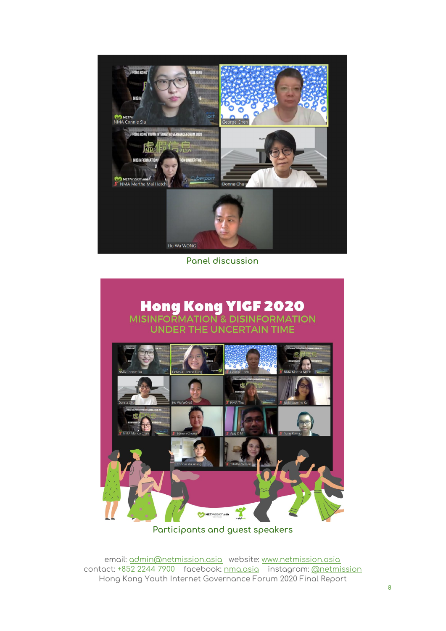

**Panel discussion**



**Participants and guest speakers**

email: [admin@netmission.asia](mailto:admin@netmission.asia) website: [www.netmission.asia](http://www.netmission.asia/) contact: +852 2244 7900 facebook: [nma.asia](http://nma.asia/) instagram: [@netmission](https://www.instagram.com/netmission/) Hong Kong Youth Internet Governance Forum 2020 Final Report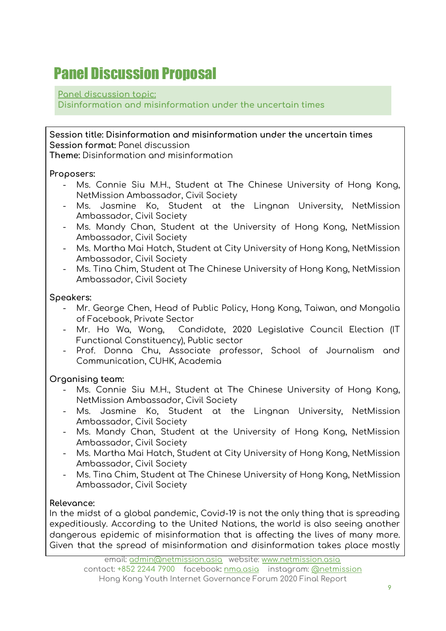# <span id="page-8-0"></span>Panel Discussion Proposal

#### **Panel discussion topic:**

**Disinformation and misinformation under the uncertain times**

**Session title: Disinformation and misinformation under the uncertain times Session format:** Panel discussion **Theme:** Disinformation and misinformation

#### **Proposers:**

- Ms. Connie Siu M.H., Student at The Chinese University of Hong Kong, NetMission Ambassador, Civil Society
- Ms. Jasmine Ko, Student at the Lingnan University, NetMission Ambassador, Civil Society
- Ms. Mandy Chan, Student at the University of Hong Kong, NetMission Ambassador, Civil Society
- Ms. Martha Mai Hatch, Student at City University of Hong Kong, NetMission Ambassador, Civil Society
- Ms. Tina Chim, Student at The Chinese University of Hong Kong, NetMission Ambassador, Civil Society

#### **Speakers:**

- Mr. George Chen, Head of Public Policy, Hong Kong, Taiwan, and Mongolia of Facebook, Private Sector
- Mr. Ho Wa, Wong, Candidate, 2020 Legislative Council Election (IT Functional Constituency), Public sector
- Prof. Donna Chu, Associate professor, School of Journalism and Communication, CUHK, Academia

#### **Organising team:**

- Ms. Connie Siu M.H., Student at The Chinese University of Hong Kong, NetMission Ambassador, Civil Society
- Ms. Jasmine Ko, Student at the Lingnan University, NetMission Ambassador, Civil Society
- Ms. Mandy Chan, Student at the University of Hong Kong, NetMission Ambassador, Civil Society
- Ms. Martha Mai Hatch, Student at City University of Hong Kong, NetMission Ambassador, Civil Society
- Ms. Tina Chim, Student at The Chinese University of Hong Kong, NetMission Ambassador, Civil Society

#### **Relevance:**

In the midst of a global pandemic, Covid-19 is not the only thing that is spreading expeditiously. According to the United Nations, the world is also seeing another dangerous epidemic of misinformation that is affecting the lives of many more. Given that the spread of misinformation and disinformation takes place mostly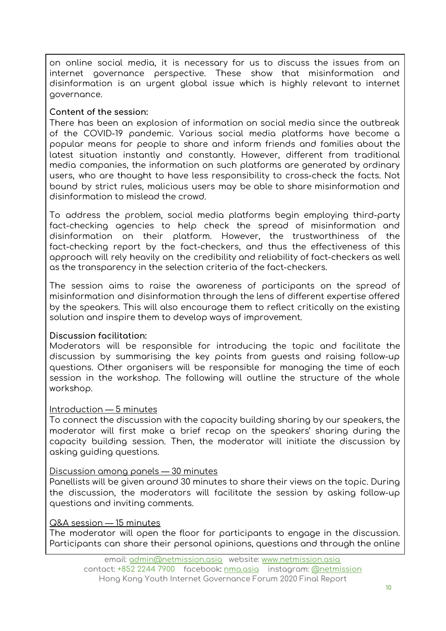on online social media, it is necessary for us to discuss the issues from an internet governance perspective. These show that misinformation and disinformation is an urgent global issue which is highly relevant to internet governance.

#### **Content of the session:**

There has been an explosion of information on social media since the outbreak of the COVID-19 pandemic. Various social media platforms have become a popular means for people to share and inform friends and families about the latest situation instantly and constantly. However, different from traditional media companies, the information on such platforms are generated by ordinary users, who are thought to have less responsibility to cross-check the facts. Not bound by strict rules, malicious users may be able to share misinformation and disinformation to mislead the crowd.

To address the problem, social media platforms begin employing third-party fact-checking agencies to help check the spread of misinformation and disinformation on their platform. However, the trustworthiness of the fact-checking report by the fact-checkers, and thus the effectiveness of this approach will rely heavily on the credibility and reliability of fact-checkers as well as the transparency in the selection criteria of the fact-checkers.

The session aims to raise the awareness of participants on the spread of misinformation and disinformation through the lens of different expertise offered by the speakers. This will also encourage them to reflect critically on the existing solution and inspire them to develop ways of improvement.

#### **Discussion facilitation:**

Moderators will be responsible for introducing the topic and facilitate the discussion by summarising the key points from guests and raising follow-up questions. Other organisers will be responsible for managing the time of each session in the workshop. The following will outline the structure of the whole workshop.

#### Introduction — 5 minutes

To connect the discussion with the capacity building sharing by our speakers, the moderator will first make a brief recap on the speakers' sharing during the capacity building session. Then, the moderator will initiate the discussion by asking guiding questions.

#### Discussion among panels — 30 minutes

Panellists will be given around 30 minutes to share their views on the topic. During the discussion, the moderators will facilitate the session by asking follow-up questions and inviting comments.

#### Q&A session — 15 minutes

The moderator will open the floor for participants to engage in the discussion. Participants can share their personal opinions, questions and through the online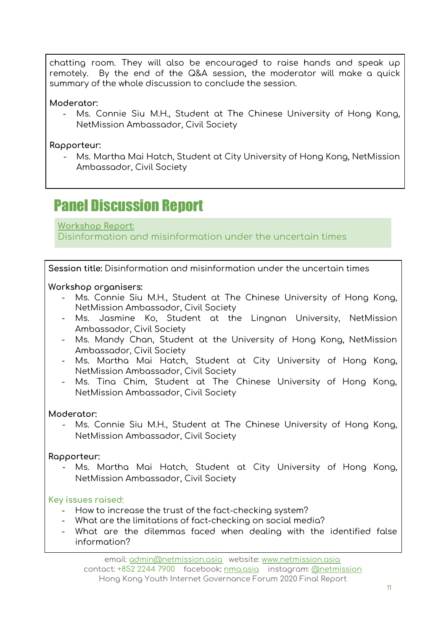chatting room. They will also be encouraged to raise hands and speak up remotely. By the end of the Q&A session, the moderator will make a quick summary of the whole discussion to conclude the session.

**Moderator:**

Ms. Connie Siu M.H., Student at The Chinese University of Hong Kong, NetMission Ambassador, Civil Society

**Rapporteur:**

 Ms. Martha Mai Hatch, Student at City University of Hong Kong, NetMission Ambassador, Civil Society

# <span id="page-10-0"></span>Panel Discussion Report

**Workshop Report:** Disinformation and misinformation under the uncertain times

**Session title:** Disinformation and misinformation under the uncertain times

**Workshop organisers:**

- Ms. Connie Siu M.H., Student at The Chinese University of Hong Kong, NetMission Ambassador, Civil Society
- Ms. Jasmine Ko, Student at the Lingnan University, NetMission Ambassador, Civil Society
- Ms. Mandy Chan, Student at the University of Hong Kong, NetMission Ambassador, Civil Society
- Ms. Martha Mai Hatch, Student at City University of Hong Kong, NetMission Ambassador, Civil Society
- Ms. Tina Chim, Student at The Chinese University of Hong Kong, NetMission Ambassador, Civil Society

#### **Moderator:**

 Ms. Connie Siu M.H., Student at The Chinese University of Hong Kong, NetMission Ambassador, Civil Society

#### **Rapporteur:**

 Ms. Martha Mai Hatch, Student at City University of Hong Kong, NetMission Ambassador, Civil Society

**Key issues raised:**

- How to increase the trust of the fact-checking system?
- What are the limitations of fact-checking on social media?
- What are the dilemmas faced when dealing with the identified false information?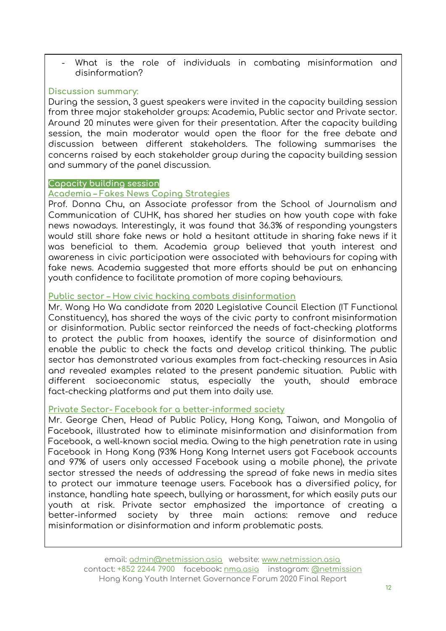What is the role of individuals in combating misinformation and disinformation?

#### **Discussion summary:**

During the session, 3 guest speakers were invited in the capacity building session from three major stakeholder groups: Academia, Public sector and Private sector. Around 20 minutes were given for their presentation. After the capacity building session, the main moderator would open the floor for the free debate and discussion between different stakeholders. The following summarises the concerns raised by each stakeholder group during the capacity building session and summary of the panel discussion.

#### **Capacity building session**

#### **Academia – Fakes News Coping Strategies**

Prof. Donna Chu, an Associate professor from the School of Journalism and Communication of CUHK, has shared her studies on how youth cope with fake news nowadays. Interestingly, it was found that 36.3% of responding youngsters would still share fake news or hold a hesitant attitude in sharing fake news if it was beneficial to them. Academia group believed that youth interest and awareness in civic participation were associated with behaviours for coping with fake news. Academia suggested that more efforts should be put on enhancing youth confidence to facilitate promotion of more coping behaviours.

#### **Public sector – How civic hacking combats disinformation**

Mr. Wong Ho Wa candidate from 2020 Legislative Council Election (IT Functional Constituency), has shared the ways of the civic party to confront misinformation or disinformation. Public sector reinforced the needs of fact-checking platforms to protect the public from hoaxes, identify the source of disinformation and enable the public to check the facts and develop critical thinking. The public sector has demonstrated various examples from fact-checking resources in Asia and revealed examples related to the present pandemic situation. Public with different socioeconomic status, especially the youth, should embrace fact-checking platforms and put them into daily use.

#### **Private Sector- Facebook for a better-informed society**

Mr. George Chen, Head of Public Policy, Hong Kong, Taiwan, and Mongolia of Facebook, illustrated how to eliminate misinformation and disinformation from Facebook, a well-known social media. Owing to the high penetration rate in using Facebook in Hong Kong (93% Hong Kong Internet users got Facebook accounts and 97% of users only accessed Facebook using a mobile phone), the private sector stressed the needs of addressing the spread of fake news in media sites to protect our immature teenage users. Facebook has a diversified policy, for instance, handling hate speech, bullying or harassment, for which easily puts our youth at risk. Private sector emphasized the importance of creating a better-informed society by three main actions: remove and reduce misinformation or disinformation and inform problematic posts.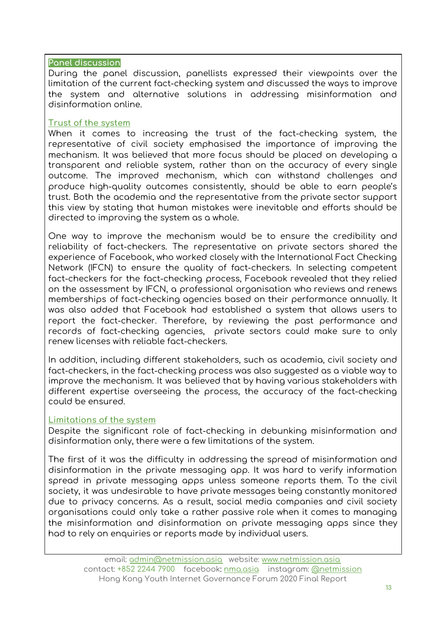#### **Panel discussion**

During the panel discussion, panellists expressed their viewpoints over the limitation of the current fact-checking system and discussed the ways to improve the system and alternative solutions in addressing misinformation and disinformation online.

#### **Trust of the system**

When it comes to increasing the trust of the fact-checking system, the representative of civil society emphasised the importance of improving the mechanism. It was believed that more focus should be placed on developing a transparent and reliable system, rather than on the accuracy of every single outcome. The improved mechanism, which can withstand challenges and produce high-quality outcomes consistently, should be able to earn people's trust. Both the academia and the representative from the private sector support this view by stating that human mistakes were inevitable and efforts should be directed to improving the system as a whole.

One way to improve the mechanism would be to ensure the credibility and reliability of fact-checkers. The representative on private sectors shared the experience of Facebook, who worked closely with the International Fact Checking Network (IFCN) to ensure the quality of fact-checkers. In selecting competent fact-checkers for the fact-checking process, Facebook revealed that they relied on the assessment by IFCN, a professional organisation who reviews and renews memberships of fact-checking agencies based on their performance annually. It was also added that Facebook had established a system that allows users to report the fact-checker. Therefore, by reviewing the past performance and records of fact-checking agencies, private sectors could make sure to only renew licenses with reliable fact-checkers.

In addition, including different stakeholders, such as academia, civil society and fact-checkers, in the fact-checking process was also suggested as a viable way to improve the mechanism. It was believed that by having various stakeholders with different expertise overseeing the process, the accuracy of the fact-checking could be ensured.

#### **Limitations of the system**

Despite the significant role of fact-checking in debunking misinformation and disinformation only, there were a few limitations of the system.

The first of it was the difficulty in addressing the spread of misinformation and disinformation in the private messaging app. It was hard to verify information spread in private messaging apps unless someone reports them. To the civil society, it was undesirable to have private messages being constantly monitored due to privacy concerns. As a result, social media companies and civil society organisations could only take a rather passive role when it comes to managing the misinformation and disinformation on private messaging apps since they had to rely on enquiries or reports made by individual users.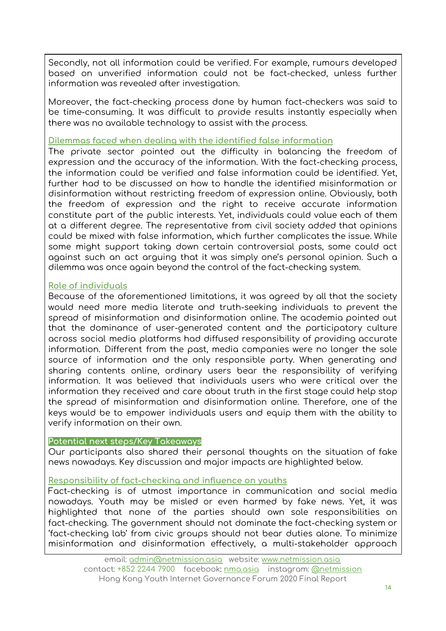Secondly, not all information could be verified. For example, rumours developed based on unverified information could not be fact-checked, unless further information was revealed after investigation.

Moreover, the fact-checking process done by human fact-checkers was said to be time-consuming. It was difficult to provide results instantly especially when there was no available technology to assist with the process.

#### **Dilemmas faced when dealing with the identified false information**

The private sector pointed out the difficulty in balancing the freedom of expression and the accuracy of the information. With the fact-checking process, the information could be verified and false information could be identified. Yet, further had to be discussed on how to handle the identified misinformation or disinformation without restricting freedom of expression online. Obviously, both the freedom of expression and the right to receive accurate information constitute part of the public interests. Yet, individuals could value each of them at a different degree. The representative from civil society added that opinions could be mixed with false information, which further complicates the issue. While some might support taking down certain controversial posts, some could act against such an act arguing that it was simply one's personal opinion. Such a dilemma was once again beyond the control of the fact-checking system.

#### **Role of individuals**

Because of the aforementioned limitations, it was agreed by all that the society would need more media literate and truth-seeking individuals to prevent the spread of misinformation and disinformation online. The academia pointed out that the dominance of user-generated content and the participatory culture across social media platforms had diffused responsibility of providing accurate information. Different from the past, media companies were no longer the sole source of information and the only responsible party. When generating and sharing contents online, ordinary users bear the responsibility of verifying information. It was believed that individuals users who were critical over the information they received and care about truth in the first stage could help stop the spread of misinformation and disinformation online. Therefore, one of the keys would be to empower individuals users and equip them with the ability to verify information on their own.

#### **Potential next steps/Key Takeaways**

Our participants also shared their personal thoughts on the situation of fake news nowadays. Key discussion and major impacts are highlighted below.

#### **Responsibility of fact-checking and influence on youths**

Fact-checking is of utmost importance in communication and social media nowadays. Youth may be misled or even harmed by fake news. Yet, it was highlighted that none of the parties should own sole responsibilities on fact-checking. The government should not dominate the fact-checking system or 'fact-checking lab' from civic groups should not bear duties alone. To minimize misinformation and disinformation effectively, a multi-stakeholder approach